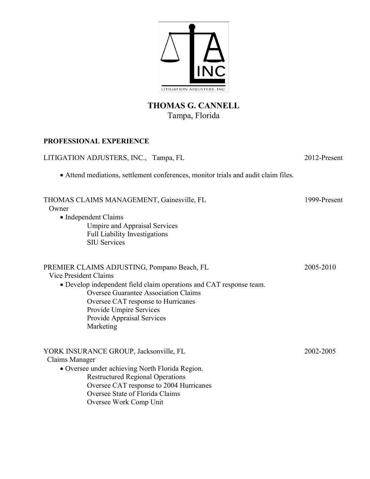

# **THOMAS G. CANNELL** Tampa, Florida

### **PROFESSIONAL EXPERIENCE**

| LITIGATION ADJUSTERS, INC., Tampa, FL<br>• Attend mediations, settlement conferences, monitor trials and audit claim files.                                                                                                                                                                            | 2012-Present |
|--------------------------------------------------------------------------------------------------------------------------------------------------------------------------------------------------------------------------------------------------------------------------------------------------------|--------------|
|                                                                                                                                                                                                                                                                                                        |              |
| PREMIER CLAIMS ADJUSTING, Pompano Beach, FL<br>Vice President Claims<br>• Develop independent field claim operations and CAT response team.<br><b>Oversee Guarantee Association Claims</b><br>Oversee CAT response to Hurricanes<br>Provide Umpire Services<br>Provide Appraisal Services<br>Marketing | 2005-2010    |
| YORK INSURANCE GROUP, Jacksonville, FL<br>Claims Manager<br>• Oversee under achieving North Florida Region.<br><b>Restructured Regional Operations</b><br>Oversee CAT response to 2004 Hurricanes<br>Oversee State of Florida Claims<br>Oversee Work Comp Unit                                         | 2002-2005    |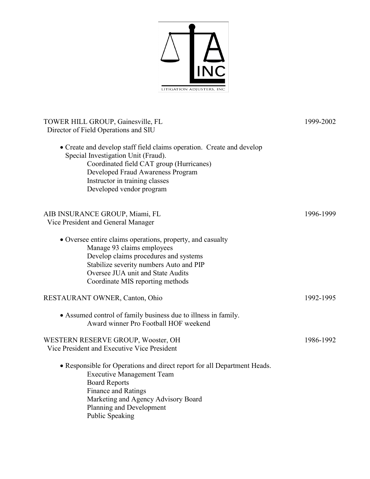

| TOWER HILL GROUP, Gainesville, FL<br>Director of Field Operations and SIU                                                                                                                                                                                   | 1999-2002 |
|-------------------------------------------------------------------------------------------------------------------------------------------------------------------------------------------------------------------------------------------------------------|-----------|
| • Create and develop staff field claims operation. Create and develop<br>Special Investigation Unit (Fraud).<br>Coordinated field CAT group (Hurricanes)<br>Developed Fraud Awareness Program<br>Instructor in training classes<br>Developed vendor program |           |
| AIB INSURANCE GROUP, Miami, FL<br>Vice President and General Manager                                                                                                                                                                                        | 1996-1999 |
| • Oversee entire claims operations, property, and casualty<br>Manage 93 claims employees<br>Develop claims procedures and systems<br>Stabilize severity numbers Auto and PIP<br>Oversee JUA unit and State Audits<br>Coordinate MIS reporting methods       |           |
| RESTAURANT OWNER, Canton, Ohio                                                                                                                                                                                                                              | 1992-1995 |
| • Assumed control of family business due to illness in family.<br>Award winner Pro Football HOF weekend                                                                                                                                                     |           |
| WESTERN RESERVE GROUP, Wooster, OH<br>Vice President and Executive Vice President                                                                                                                                                                           | 1986-1992 |
| • Responsible for Operations and direct report for all Department Heads.<br><b>Executive Management Team</b><br><b>Board Reports</b><br><b>Finance and Ratings</b><br>Marketing and Agency Advisory Board<br>Planning and Development<br>Public Speaking    |           |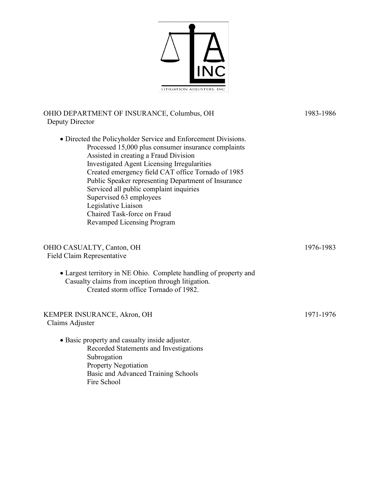

#### OHIO DEPARTMENT OF INSURANCE, Columbus, OH 1983-1986 Deputy Director

• Directed the Policyholder Service and Enforcement Divisions. Processed 15,000 plus consumer insurance complaints Assisted in creating a Fraud Division Investigated Agent Licensing Irregularities Created emergency field CAT office Tornado of 1985 Public Speaker representing Department of Insurance Serviced all public complaint inquiries Supervised 63 employees Legislative Liaison Chaired Task-force on Fraud Revamped Licensing Program OHIO CASUALTY, Canton, OH 1976-1983 Field Claim Representative • Largest territory in NE Ohio. Complete handling of property and Casualty claims from inception through litigation. Created storm office Tornado of 1982.

## KEMPER INSURANCE, Akron, OH 1971-1976 Claims Adjuster • Basic property and casualty inside adjuster. Recorded Statements and Investigations

Subrogation Property Negotiation Basic and Advanced Training Schools Fire School